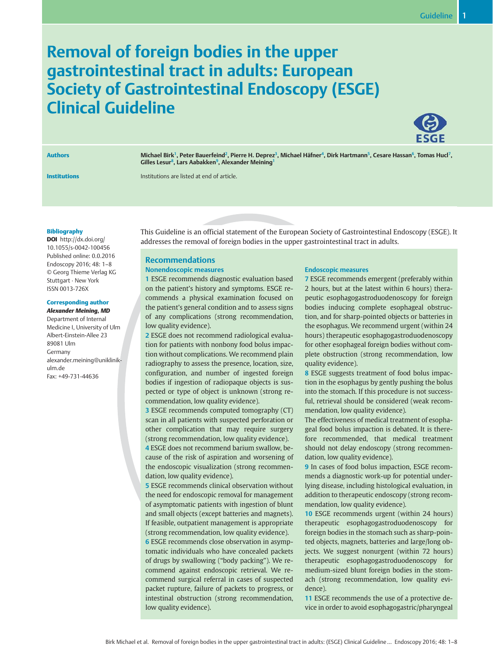# Removal of foreign bodies in the upper gastrointestinal tract in adults: European Society of Gastrointestinal Endoscopy (ESGE) Clinical Guideline



Authors Michael Birk<sup>1</sup>, Peter Bauerfeind<sup>2</sup>, Pierre H. Deprez<sup>3</sup>, Michael Häfner<sup>4</sup>, Dirk Hartmann<sup>5</sup>, Cesare Hassan<sup>6</sup>, Tomas Hucl<sup>7</sup>, Gilles Lesur<sup>8</sup>, Lars Aabakken<sup>9</sup>, Alexander Meining

Institutions Institutions are listed at end of article.

#### Bibliography

DOI http://dx.doi.org/ 10.1055/s-0042-100456 Published online: 0.0.2016 Endoscopy 2016; 48: 1–8 © Georg Thieme Verlag KG Stuttgart · New York ISSN 0013-726X

# Corresponding author

Alexander Meining, MD Department of Internal Medicine I, University of Ulm Albert-Einstein-Allee 23 89081 Ulm Germany alexander.meining@uniklinikulm.de Fax: +49-731-44636

This Guideline is an official statement of the European Society of Gastrointestinal Endoscopy (ESGE). It addresses the removal of foreign bodies in the upper gastrointestinal tract in adults.

# Recommendations Nonendoscopic measures

1 ESGE recommends diagnostic evaluation based on the patient's history and symptoms. ESGE recommends a physical examination focused on the patient's general condition and to assess signs of any complications (strong recommendation, low quality evidence).

2 ESGE does not recommend radiological evaluation for patients with nonbony food bolus impaction without complications. We recommend plain radiography to assess the presence, location, size, configuration, and number of ingested foreign bodies if ingestion of radiopaque objects is suspected or type of object is unknown (strong recommendation, low quality evidence).

3 ESGE recommends computed tomography (CT) scan in all patients with suspected perforation or other complication that may require surgery (strong recommendation, low quality evidence). 4 ESGE does not recommend barium swallow, because of the risk of aspiration and worsening of the endoscopic visualization (strong recommendation, low quality evidence).

5 ESGE recommends clinical observation without the need for endoscopic removal for management of asymptomatic patients with ingestion of blunt and small objects (except batteries and magnets). If feasible, outpatient management is appropriate (strong recommendation, low quality evidence). 6 ESGE recommends close observation in asymptomatic individuals who have concealed packets

of drugs by swallowing ("body packing"). We recommend against endoscopic retrieval. We recommend surgical referral in cases of suspected packet rupture, failure of packets to progress, or intestinal obstruction (strong recommendation, low quality evidence).

#### Endoscopic measures

7 ESGE recommends emergent (preferably within 2 hours, but at the latest within 6 hours) therapeutic esophagogastroduodenoscopy for foreign bodies inducing complete esophageal obstruction, and for sharp-pointed objects or batteries in the esophagus. We recommend urgent (within 24 hours) therapeutic esophagogastroduodenoscopy for other esophageal foreign bodies without complete obstruction (strong recommendation, low quality evidence).

8 ESGE suggests treatment of food bolus impaction in the esophagus by gently pushing the bolus into the stomach. If this procedure is not successful, retrieval should be considered (weak recommendation, low quality evidence).

The effectiveness of medical treatment of esophageal food bolus impaction is debated. It is therefore recommended, that medical treatment should not delay endoscopy (strong recommendation, low quality evidence).

9 In cases of food bolus impaction, ESGE recommends a diagnostic work-up for potential underlying disease, including histological evaluation, in addition to therapeutic endoscopy (strong recommendation, low quality evidence).

10 ESGE recommends urgent (within 24 hours) therapeutic esophagogastroduodenoscopy for foreign bodies in the stomach such as sharp-pointed objects, magnets, batteries and large/long objects. We suggest nonurgent (within 72 hours) therapeutic esophagogastroduodenoscopy for medium-sized blunt foreign bodies in the stomach (strong recommendation, low quality evidence).

11 ESGE recommends the use of a protective device in order to avoid esophagogastric/pharyngeal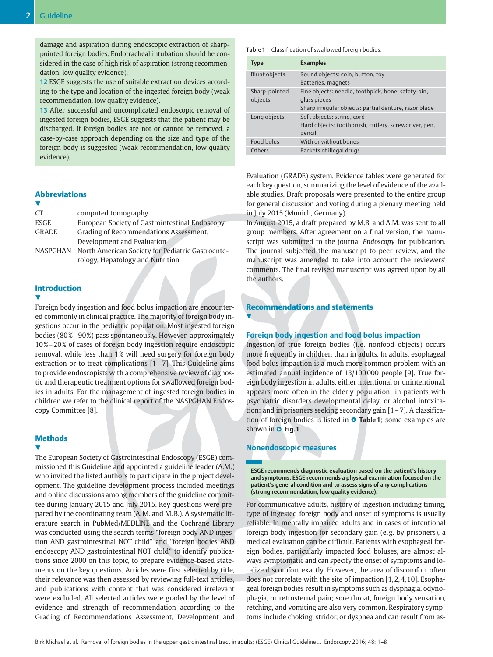damage and aspiration during endoscopic extraction of sharppointed foreign bodies. Endotracheal intubation should be considered in the case of high risk of aspiration (strong recommendation, low quality evidence).

12 ESGE suggests the use of suitable extraction devices according to the type and location of the ingested foreign body (weak recommendation, low quality evidence).

13 After successful and uncomplicated endoscopic removal of ingested foreign bodies, ESGE suggests that the patient may be discharged. If foreign bodies are not or cannot be removed, a case-by-case approach depending on the size and type of the foreign body is suggested (weak recommendation, low quality evidence).

## Abbreviations

| <b>CT</b>       | computed tomography                              |
|-----------------|--------------------------------------------------|
| ESGE            | European Society of Gastrointestinal Endoscopy   |
| <b>GRADE</b>    | Grading of Recommendations Assessment,           |
|                 | Development and Evaluation                       |
| <b>NASPGHAN</b> | North American Society for Pediatric Gastroente- |
|                 | rology, Hepatology and Nutrition                 |
|                 |                                                  |

# Introduction

#### v,

Foreign body ingestion and food bolus impaction are encountered commonly in clinical practice. The majority of foreign body ingestions occur in the pediatric population. Most ingested foreign bodies (80%-90%) pass spontaneously. However, approximately 10 %–20 % of cases of foreign body ingestion require endoscopic removal, while less than 1% will need surgery for foreign body extraction or to treat complications [1–7]. This Guideline aims to provide endoscopists with a comprehensive review of diagnostic and therapeutic treatment options for swallowed foreign bodies in adults. For the management of ingested foreign bodies in children we refer to the clinical report of the NASPGHAN Endoscopy Committee [8].

# **Methods**

#### v,

The European Society of Gastrointestinal Endoscopy (ESGE) commissioned this Guideline and appointed a guideline leader (A.M.) who invited the listed authors to participate in the project development. The guideline development process included meetings and online discussions among members of the guideline committee during January 2015 and July 2015. Key questions were prepared by the coordinating team (A.M. and M. B.). A systematic literature search in PubMed/MEDLINE and the Cochrane Library was conducted using the search terms "foreign body AND ingestion AND gastrointestinal NOT child" and "foreign bodies AND endoscopy AND gastrointestinal NOT child" to identify publications since 2000 on this topic, to prepare evidence-based statements on the key questions. Articles were first selected by title, their relevance was then assessed by reviewing full-text articles, and publications with content that was considered irrelevant were excluded. All selected articles were graded by the level of evidence and strength of recommendation according to the Grading of Recommendations Assessment, Development and

| Classification of swallowed foreign bodies.<br>Table 1 |                                                                                                                             |  |
|--------------------------------------------------------|-----------------------------------------------------------------------------------------------------------------------------|--|
| <b>Type</b>                                            | <b>Examples</b>                                                                                                             |  |
| <b>Blunt objects</b>                                   | Round objects: coin, button, toy<br>Batteries, magnets                                                                      |  |
| Sharp-pointed<br>objects                               | Fine objects: needle, toothpick, bone, safety-pin,<br>glass pieces<br>Sharp irregular objects: partial denture, razor blade |  |
| Long objects                                           | Soft objects: string, cord<br>Hard objects: toothbrush, cutlery, screwdriver, pen,<br>pencil                                |  |
| Food bolus                                             | With or without bones                                                                                                       |  |
| Others                                                 | Packets of illegal drugs                                                                                                    |  |

Evaluation (GRADE) system. Evidence tables were generated for each key question, summarizing the level of evidence of the available studies. Draft proposals were presented to the entire group for general discussion and voting during a plenary meeting held in July 2015 (Munich, Germany).

In August 2015, a draft prepared by M.B. and A.M. was sent to all group members. After agreement on a final version, the manuscript was submitted to the journal Endoscopy for publication. The journal subjected the manuscript to peer review, and the manuscript was amended to take into account the reviewers' comments. The final revised manuscript was agreed upon by all the authors.

# Recommendations and statements

#### **V**

# Foreign body ingestion and food bolus impaction

Ingestion of true foreign bodies (i. e. nonfood objects) occurs more frequently in children than in adults. In adults, esophageal food bolus impaction is a much more common problem with an estimated annual incidence of 13/100 000 people [9]. True foreign body ingestion in adults, either intentional or unintentional, appears more often in the elderly population; in patients with psychiatric disorders developmental delay, or alcohol intoxication; and in prisoners seeking secondary gain [1–7]. A classification of foreign bodies is listed in **O Table 1**; some examples are shown in **O** Fig.1.

# Nonendoscopic measures

ESGE recommends diagnostic evaluation based on the patient's history and symptoms. ESGE recommends a physical examination focused on the patient's general condition and to assess signs of any complications (strong recommendation, low quality evidence).

For communicative adults, history of ingestion including timing, type of ingested foreign body and onset of symptoms is usually reliable. In mentally impaired adults and in cases of intentional foreign body ingestion for secondary gain (e. g. by prisoners), a medical evaluation can be difficult. Patients with esophageal foreign bodies, particularly impacted food boluses, are almost always symptomatic and can specify the onset of symptoms and localize discomfort exactly. However, the area of discomfort often does not correlate with the site of impaction [1, 2, 4, 10]. Esophageal foreign bodies result in symptoms such as dysphagia, odynophagia, or retrosternal pain; sore throat, foreign body sensation, retching, and vomiting are also very common. Respiratory symptoms include choking, stridor, or dyspnea and can result from as-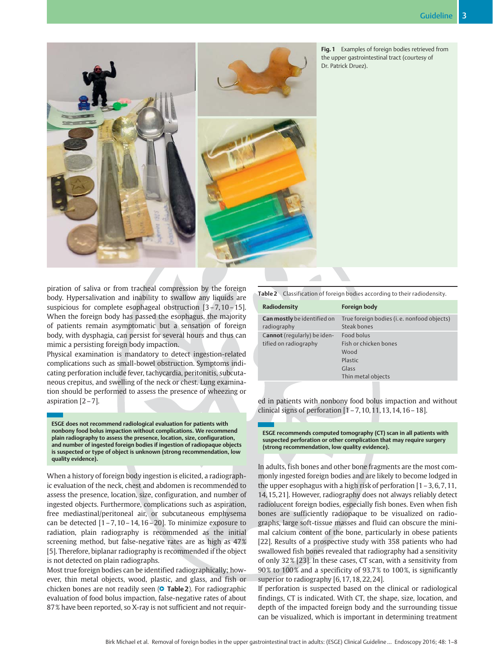

piration of saliva or from tracheal compression by the foreign body. Hypersalivation and inability to swallow any liquids are suspicious for complete esophageal obstruction [3–7, 10–15]. When the foreign body has passed the esophagus, the majority of patients remain asymptomatic but a sensation of foreign body, with dysphagia, can persist for several hours and thus can mimic a persisting foreign body impaction.

Physical examination is mandatory to detect ingestion-related complications such as small-bowel obstruction. Symptoms indicating perforation include fever, tachycardia, peritonitis, subcutaneous crepitus, and swelling of the neck or chest. Lung examination should be performed to assess the presence of wheezing or aspiration [2–7].

ESGE does not recommend radiological evaluation for patients with nonbony food bolus impaction without complications. We recommend plain radiography to assess the presence, location, size, configuration, and number of ingested foreign bodies if ingestion of radiopaque objects is suspected or type of object is unknown (strong recommendation, low quality evidence).

When a history of foreign body ingestion is elicited, a radiographic evaluation of the neck, chest and abdomen is recommended to assess the presence, location, size, configuration, and number of ingested objects. Furthermore, complications such as aspiration, free mediastinal/peritoneal air, or subcutaneous emphysema can be detected  $[1 - 7, 10 - 14, 16 - 20]$ . To minimize exposure to radiation, plain radiography is recommended as the initial screening method, but false-negative rates are as high as 47 % [5]. Therefore, biplanar radiography is recommended if the object is not detected on plain radiographs.

Most true foreign bodies can be identified radiographically; however, thin metal objects, wood, plastic, and glass, and fish or chicken bones are not readily seen (**O Table2**). For radiographic evaluation of food bolus impaction, false-negative rates of about 87 % have been reported, so X-ray is not sufficient and not requirTable 2 Classification of foreign bodies according to their radiodensity.

| Radiodensity                                         | Foreign body                                                                          |
|------------------------------------------------------|---------------------------------------------------------------------------------------|
| <b>Can mostly</b> be identified on<br>radiography    | True foreign bodies (i.e. nonfood objects)<br>Steak bones                             |
| Cannot (regularly) be iden-<br>tified on radiography | Food bolus<br>Fish or chicken bones<br>Wood<br>Plastic<br>Glass<br>Thin metal objects |
|                                                      |                                                                                       |

ed in patients with nonbony food bolus impaction and without clinical signs of perforation [1–7, 10, 11, 13, 14, 16–18].

ESGE recommends computed tomography (CT) scan in all patients with suspected perforation or other complication that may require surgery (strong recommendation, low quality evidence).

In adults, fish bones and other bone fragments are the most commonly ingested foreign bodies and are likely to become lodged in the upper esophagus with a high risk of perforation  $[1-3, 6, 7, 11, 1]$ 14, 15, 21]. However, radiography does not always reliably detect radiolucent foreign bodies, especially fish bones. Even when fish bones are sufficiently radiopaque to be visualized on radiographs, large soft-tissue masses and fluid can obscure the minimal calcium content of the bone, particularly in obese patients [22]. Results of a prospective study with 358 patients who had swallowed fish bones revealed that radiography had a sensitivity of only 32 % [23]. In these cases, CT scan, with a sensitivity from 90% to 100% and a specificity of 93.7% to 100%, is significantly superior to radiography [6, 17, 18, 22, 24].

If perforation is suspected based on the clinical or radiological findings, CT is indicated. With CT, the shape, size, location, and depth of the impacted foreign body and the surrounding tissue can be visualized, which is important in determining treatment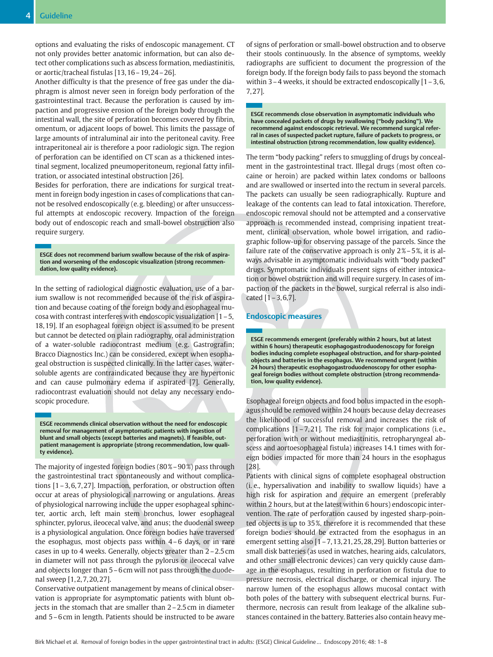options and evaluating the risks of endoscopic management. CT not only provides better anatomic information, but can also detect other complications such as abscess formation, mediastinitis, or aortic/tracheal fistulas [13, 16–19, 24–26].

Another difficulty is that the presence of free gas under the diaphragm is almost never seen in foreign body perforation of the gastrointestinal tract. Because the perforation is caused by impaction and progressive erosion of the foreign body through the intestinal wall, the site of perforation becomes covered by fibrin, omentum, or adjacent loops of bowel. This limits the passage of large amounts of intraluminal air into the peritoneal cavity. Free intraperitoneal air is therefore a poor radiologic sign. The region of perforation can be identified on CT scan as a thickened intestinal segment, localized pneumoperitoneum, regional fatty infiltration, or associated intestinal obstruction [26].

Besides for perforation, there are indications for surgical treatment in foreign body ingestion in cases of complications that cannot be resolved endoscopically (e. g. bleeding) or after unsuccessful attempts at endoscopic recovery. Impaction of the foreign body out of endoscopic reach and small-bowel obstruction also require surgery.

ESGE does not recommend barium swallow because of the risk of aspiration and worsening of the endoscopic visualization (strong recommendation, low quality evidence).

In the setting of radiological diagnostic evaluation, use of a barium swallow is not recommended because of the risk of aspiration and because coating of the foreign body and esophageal mucosa with contrast interferes with endoscopic visualization  $[1 - 5,$ 18, 19]. If an esophageal foreign object is assumed to be present but cannot be detected on plain radiography, oral administration of a water-soluble radiocontrast medium (e.g. Gastrografin; Bracco Diagnostics Inc.) can be considered, except when esophageal obstruction is suspected clinically. In the latter cases, watersoluble agents are contraindicated because they are hypertonic and can cause pulmonary edema if aspirated [7]. Generally, radiocontrast evaluation should not delay any necessary endoscopic procedure.

ESGE recommends clinical observation without the need for endoscopic removal for management of asymptomatic patients with ingestion of blunt and small objects (except batteries and magnets). If feasible, outpatient management is appropriate (strong recommendation, low quality evidence).

The majority of ingested foreign bodies (80%-90%) pass through the gastrointestinal tract spontaneously and without complications [1–3, 6, 7, 27]. Impaction, perforation, or obstruction often occur at areas of physiological narrowing or angulations. Areas of physiological narrowing include the upper esophageal sphincter, aortic arch, left main stem bronchus, lower esophageal sphincter, pylorus, ileocecal valve, and anus; the duodenal sweep is a physiological angulation. Once foreign bodies have traversed the esophagus, most objects pass within 4–6 days, or in rare cases in up to 4 weeks. Generally, objects greater than 2–2.5 cm in diameter will not pass through the pylorus or ileocecal valve and objects longer than 5–6 cm will not pass through the duodenal sweep [1, 2, 7, 20, 27].

Conservative outpatient management by means of clinical observation is appropriate for asymptomatic patients with blunt objects in the stomach that are smaller than 2–2.5 cm in diameter and 5–6 cm in length. Patients should be instructed to be aware

of signs of perforation or small-bowel obstruction and to observe their stools continuously. In the absence of symptoms, weekly radiographs are sufficient to document the progression of the foreign body. If the foreign body fails to pass beyond the stomach within  $3-4$  weeks, it should be extracted endoscopically  $[1-3, 6, 1]$ 7, 27].

ESGE recommends close observation in asymptomatic individuals who have concealed packets of drugs by swallowing ("body packing"). We recommend against endoscopic retrieval. We recommend surgical referral in cases of suspected packet rupture, failure of packets to progress, or intestinal obstruction (strong recommendation, low quality evidence).

The term "body packing" refers to smuggling of drugs by concealment in the gastrointestinal tract. Illegal drugs (most often cocaine or heroin) are packed within latex condoms or balloons and are swallowed or inserted into the rectum in several parcels. The packets can usually be seen radiographically. Rupture and leakage of the contents can lead to fatal intoxication. Therefore, endoscopic removal should not be attempted and a conservative approach is recommended instead, comprising inpatient treatment, clinical observation, whole bowel irrigation, and radiographic follow-up for observing passage of the parcels. Since the failure rate of the conservative approach is only  $2\% - 5\%$ , it is always advisable in asymptomatic individuals with "body packed" drugs. Symptomatic individuals present signs of either intoxication or bowel obstruction and will require surgery. In cases of impaction of the packets in the bowel, surgical referral is also indicated  $[1 - 3, 6, 7]$ .

# Endoscopic measures

ESGE recommends emergent (preferably within 2 hours, but at latest within 6 hours) therapeutic esophagogastroduodenoscopy for foreign bodies inducing complete esophageal obstruction, and for sharp-pointed objects and batteries in the esophagus. We recommend urgent (within 24 hours) therapeutic esophagogastroduodenoscopy for other esophageal foreign bodies without complete obstruction (strong recommendation, low quality evidence).

Esophageal foreign objects and food bolus impacted in the esophagus should be removed within 24 hours because delay decreases the likelihood of successful removal and increases the risk of complications [1–7, 21]. The risk for major complications (i. e., perforation with or without mediastinitis, retropharyngeal abscess and aortoesophageal fistula) increases 14.1 times with foreign bodies impacted for more than 24 hours in the esophagus [28].

Patients with clinical signs of complete esophageal obstruction (i. e., hypersalivation and inability to swallow liquids) have a high risk for aspiration and require an emergent (preferably within 2 hours, but at the latest within 6 hours) endoscopic intervention. The rate of perforation caused by ingested sharp-pointed objects is up to 35 %, therefore it is recommended that these foreign bodies should be extracted from the esophagus in an emergent setting also [1–7, 13, 21, 25, 28, 29]. Button batteries or small disk batteries (as used in watches, hearing aids, calculators, and other small electronic devices) can very quickly cause damage in the esophagus, resulting in perforation or fistula due to pressure necrosis, electrical discharge, or chemical injury. The narrow lumen of the esophagus allows mucosal contact with both poles of the battery with subsequent electrical burns. Furthermore, necrosis can result from leakage of the alkaline substances contained in the battery. Batteries also contain heavy me-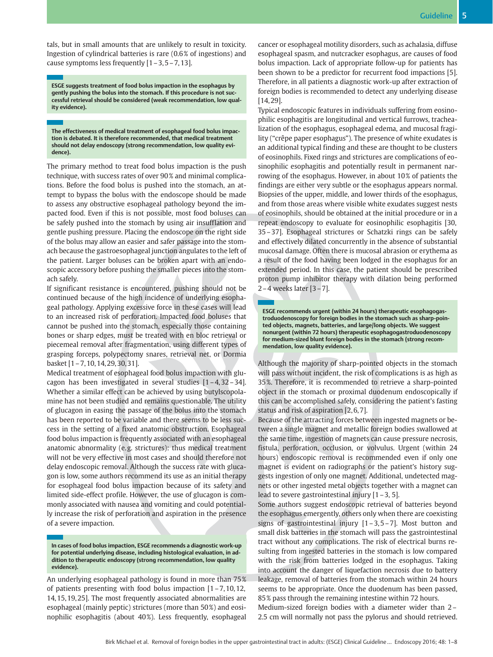tals, but in small amounts that are unlikely to result in toxicity. Ingestion of cylindrical batteries is rare (0.6 % of ingestions) and cause symptoms less frequently [1–3, 5–7, 13].

ESGE suggests treatment of food bolus impaction in the esophagus by gently pushing the bolus into the stomach. If this procedure is not successful retrieval should be considered (weak recommendation, low quality evidence).

The effectiveness of medical treatment of esophageal food bolus impaction is debated. It is therefore recommended, that medical treatment should not delay endoscopy (strong recommendation, low quality evidence).

The primary method to treat food bolus impaction is the push technique, with success rates of over 90% and minimal complications. Before the food bolus is pushed into the stomach, an attempt to bypass the bolus with the endoscope should be made to assess any obstructive esophageal pathology beyond the impacted food. Even if this is not possible, most food boluses can be safely pushed into the stomach by using air insufflation and gentle pushing pressure. Placing the endoscope on the right side of the bolus may allow an easier and safer passage into the stomach because the gastroesophageal junction angulates to the left of the patient. Larger boluses can be broken apart with an endoscopic accessory before pushing the smaller pieces into the stomach safely.

If significant resistance is encountered, pushing should not be continued because of the high incidence of underlying esophageal pathology. Applying excessive force in these cases will lead to an increased risk of perforation. Impacted food boluses that cannot be pushed into the stomach, especially those containing bones or sharp edges, must be treated with en bloc retrieval or piecemeal removal after fragmentation, using different types of grasping forceps, polypectomy snares, retrieval net, or Dormia basket [1–7, 10, 14, 29, 30, 31].

Medical treatment of esophageal food bolus impaction with glucagon has been investigated in several studies [1–4, 32–34]. Whether a similar effect can be achieved by using butylscopolamine has not been studied and remains questionable. The utility of glucagon in easing the passage of the bolus into the stomach has been reported to be variable and there seems to be less success in the setting of a fixed anatomic obstruction. Esophageal food bolus impaction is frequently associated with an esophageal anatomic abnormality (e. g. strictures): thus medical treatment will not be very effective in most cases and should therefore not delay endoscopic removal. Although the success rate with glucagon is low, some authors recommend its use as an initial therapy for esophageal food bolus impaction because of its safety and limited side-effect profile. However, the use of glucagon is commonly associated with nausea and vomiting and could potentially increase the risk of perforation and aspiration in the presence of a severe impaction.

In cases of food bolus impaction, ESGE recommends a diagnostic work-up for potential underlying disease, including histological evaluation, in addition to therapeutic endoscopy (strong recommendation, low quality evidence).

An underlying esophageal pathology is found in more than 75 % of patients presenting with food bolus impaction [1–7, 10, 12, 14, 15, 19, 25]. The most frequently associated abnormalities are esophageal (mainly peptic) strictures (more than 50 %) and eosinophilic esophagitis (about 40 %). Less frequently, esophageal cancer or esophageal motility disorders, such as achalasia, diffuse esophageal spasm, and nutcracker esophagus, are causes of food bolus impaction. Lack of appropriate follow-up for patients has been shown to be a predictor for recurrent food impactions [5]. Therefore, in all patients a diagnostic work-up after extraction of foreign bodies is recommended to detect any underlying disease [14, 29].

Typical endoscopic features in individuals suffering from eosinophilic esophagitis are longitudinal and vertical furrows, trachealization of the esophagus, esophageal edema, and mucosal fragility ("crêpe paper esophagus"). The presence of white exudates is an additional typical finding and these are thought to be clusters of eosinophils. Fixed rings and strictures are complications of eosinophilic esophagitis and potentially result in permanent narrowing of the esophagus. However, in about 10% of patients the findings are either very subtle or the esophagus appears normal. Biopsies of the upper, middle, and lower thirds of the esophagus, and from those areas where visible white exudates suggest nests of eosinophils, should be obtained at the initial procedure or in a repeat endoscopy to evaluate for eosinophilic esophagitis [30, 35–37]. Esophageal strictures or Schatzki rings can be safely and effectively dilated concurrently in the absence of substantial mucosal damage. Often there is mucosal abrasion or erythema as a result of the food having been lodged in the esophagus for an extended period. In this case, the patient should be prescribed proton pump inhibitor therapy with dilation being performed 2–4 weeks later [3–7].

ESGE recommends urgent (within 24 hours) therapeutic esophagogastroduodenoscopy for foreign bodies in the stomach such as sharp-pointed objects, magnets, batteries, and large/long objects. We suggest nonurgent (within 72 hours) therapeutic esophagogastroduodenoscopy for medium-sized blunt foreign bodies in the stomach (strong recommendation, low quality evidence).

Although the majority of sharp-pointed objects in the stomach will pass without incident, the risk of complications is as high as 35 %. Therefore, it is recommended to retrieve a sharp-pointed object in the stomach or proximal duodenum endoscopically if this can be accomplished safely, considering the patient's fasting status and risk of aspiration [2, 6, 7].

Because of the attracting forces between ingested magnets or between a single magnet and metallic foreign bodies swallowed at the same time, ingestion of magnets can cause pressure necrosis, fistula, perforation, occlusion, or volvulus. Urgent (within 24 hours) endoscopic removal is recommended even if only one magnet is evident on radiographs or the patient's history suggests ingestion of only one magnet. Additional, undetected magnets or other ingested metal objects together with a magnet can lead to severe gastrointestinal injury [1–3, 5].

Some authors suggest endoscopic retrieval of batteries beyond the esophagus emergently, others only when there are coexisting signs of gastrointestinal injury  $[1-3, 5-7]$ . Most button and small disk batteries in the stomach will pass the gastrointestinal tract without any complications. The risk of electrical burns resulting from ingested batteries in the stomach is low compared with the risk from batteries lodged in the esophagus. Taking into account the danger of liquefaction necrosis due to battery leakage, removal of batteries from the stomach within 24 hours seems to be appropriate. Once the duodenum has been passed, 85 % pass through the remaining intestine within 72 hours.

Medium-sized foreign bodies with a diameter wider than 2– 2.5 cm will normally not pass the pylorus and should retrieved.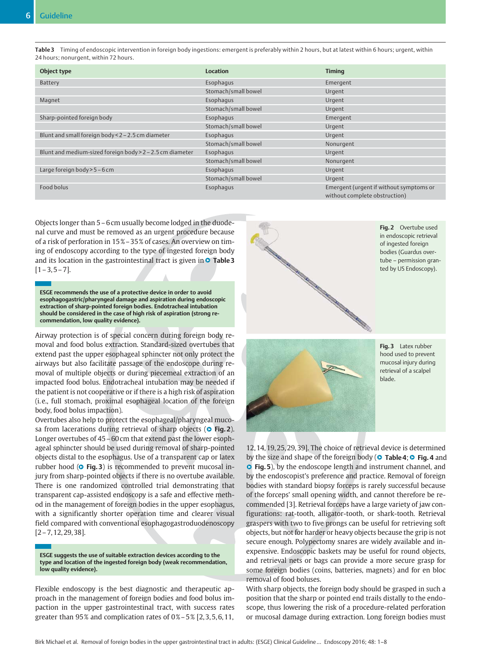Table 3 Timing of endoscopic intervention in foreign body ingestions: emergent is preferably within 2 hours, but at latest within 6 hours; urgent, within 24 hours; nonurgent, within 72 hours.

| Object type                                               | <b>Location</b>     | <b>Timing</b>                                                            |
|-----------------------------------------------------------|---------------------|--------------------------------------------------------------------------|
| Battery                                                   | Esophagus           | Emergent                                                                 |
|                                                           | Stomach/small bowel | Urgent                                                                   |
| Magnet                                                    | Esophagus           | Urgent                                                                   |
|                                                           | Stomach/small bowel | Urgent                                                                   |
| Sharp-pointed foreign body                                | Esophagus           | Emergent                                                                 |
|                                                           | Stomach/small bowel | Urgent                                                                   |
| Blunt and small foreign body < 2 - 2.5 cm diameter        | Esophagus           | Urgent                                                                   |
|                                                           | Stomach/small bowel | Nonurgent                                                                |
| Blunt and medium-sized foreign body > 2 - 2.5 cm diameter | Esophagus           | Urgent                                                                   |
|                                                           | Stomach/small bowel | Nonurgent                                                                |
| Large foreign body > 5 - 6 cm                             | Esophagus           | Urgent                                                                   |
|                                                           | Stomach/small bowel | Urgent                                                                   |
| Food bolus                                                | Esophagus           | Emergent (urgent if without symptoms or<br>without complete obstruction) |

Objects longer than 5–6 cm usually become lodged in the duodenal curve and must be removed as an urgent procedure because of a risk of perforation in 15 %–35 % of cases. An overview on timing of endoscopy according to the type of ingested foreign body and its location in the gastrointestinal tract is given in  $\bullet$  Table 3  $[1-3, 5-7]$ .

ESGE recommends the use of a protective device in order to avoid esophagogastric/pharyngeal damage and aspiration during endoscopic extraction of sharp-pointed foreign bodies. Endotracheal intubation should be considered in the case of high risk of aspiration (strong recommendation, low quality evidence).

Airway protection is of special concern during foreign body removal and food bolus extraction. Standard-sized overtubes that extend past the upper esophageal sphincter not only protect the airways but also facilitate passage of the endoscope during removal of multiple objects or during piecemeal extraction of an impacted food bolus. Endotracheal intubation may be needed if the patient is not cooperative or if there is a high risk of aspiration (i. e., full stomach, proximal esophageal location of the foreign body, food bolus impaction).

Overtubes also help to protect the esophageal/pharyngeal mucosa from lacerations during retrieval of sharp objects (**O Fig.2**). Longer overtubes of 45–60 cm that extend past the lower esophageal sphincter should be used during removal of sharp-pointed objects distal to the esophagus. Use of a transparent cap or latex rubber hood (**O Fig.3**) is recommended to prevent mucosal injury from sharp-pointed objects if there is no overtube available. There is one randomized controlled trial demonstrating that transparent cap-assisted endoscopy is a safe and effective method in the management of foreign bodies in the upper esophagus, with a significantly shorter operation time and clearer visual field compared with conventional esophagogastroduodenoscopy  $[2 - 7, 12, 29, 38]$ .

ESGE suggests the use of suitable extraction devices according to the type and location of the ingested foreign body (weak recommendation, low quality evidence).

Flexible endoscopy is the best diagnostic and therapeutic approach in the management of foreign bodies and food bolus impaction in the upper gastrointestinal tract, with success rates greater than  $95\%$  and complication rates of  $0\% - 5\%$  [2,3,5,6,11,





Fig. 3 Latex rubber hood used to prevent mucosal injury during retrieval of a scalpel blade.

12, 14, 19, 25, 29, 39]. The choice of retrieval device is determined by the size and shape of the foreign body (**O** Table 4; **O** Fig. 4 and **• Fig. 5**), by the endoscope length and instrument channel, and by the endoscopist's preference and practice. Removal of foreign bodies with standard biopsy forceps is rarely successful because of the forceps' small opening width, and cannot therefore be recommended [3]. Retrieval forceps have a large variety of jaw configurations: rat-tooth, alligator-tooth, or shark-tooth. Retrieval graspers with two to five prongs can be useful for retrieving soft objects, but not for harder or heavy objects because the grip is not secure enough. Polypectomy snares are widely available and inexpensive. Endoscopic baskets may be useful for round objects, and retrieval nets or bags can provide a more secure grasp for some foreign bodies (coins, batteries, magnets) and for en bloc removal of food boluses.

With sharp objects, the foreign body should be grasped in such a position that the sharp or pointed end trails distally to the endoscope, thus lowering the risk of a procedure-related perforation or mucosal damage during extraction. Long foreign bodies must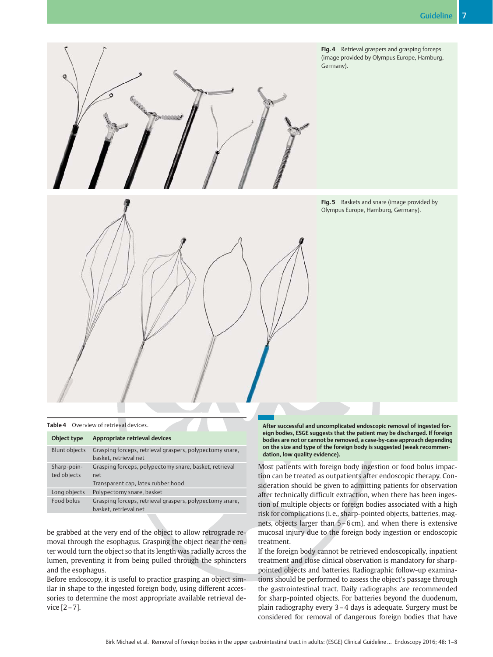

#### Table 4 Overview of retrieval devices.

| Object type                | Appropriate retrieval devices                                                                       |
|----------------------------|-----------------------------------------------------------------------------------------------------|
| <b>Blunt objects</b>       | Grasping forceps, retrieval graspers, polypectomy snare,<br>basket, retrieval net                   |
| Sharp-poin-<br>ted objects | Grasping forceps, polypectomy snare, basket, retrieval<br>net<br>Transparent cap, latex rubber hood |
| Long objects               | Polypectomy snare, basket                                                                           |
| Food bolus                 | Grasping forceps, retrieval graspers, polypectomy snare,<br>basket, retrieval net                   |

be grabbed at the very end of the object to allow retrograde removal through the esophagus. Grasping the object near the center would turn the object so that its length was radially across the lumen, preventing it from being pulled through the sphincters and the esophagus.

Before endoscopy, it is useful to practice grasping an object similar in shape to the ingested foreign body, using different accessories to determine the most appropriate available retrieval device [2–7].

After successful and uncomplicated endoscopic removal of ingested foreign bodies, ESGE suggests that the patient may be discharged. If foreign bodies are not or cannot be removed, a case-by-case approach depending on the size and type of the foreign body is suggested (weak recommendation, low quality evidence).

Most patients with foreign body ingestion or food bolus impaction can be treated as outpatients after endoscopic therapy. Consideration should be given to admitting patients for observation after technically difficult extraction, when there has been ingestion of multiple objects or foreign bodies associated with a high risk for complications (i. e., sharp-pointed objects, batteries, magnets, objects larger than 5–6 cm), and when there is extensive mucosal injury due to the foreign body ingestion or endoscopic treatment.

If the foreign body cannot be retrieved endoscopically, inpatient treatment and close clinical observation is mandatory for sharppointed objects and batteries. Radiographic follow-up examinations should be performed to assess the object's passage through the gastrointestinal tract. Daily radiographs are recommended for sharp-pointed objects. For batteries beyond the duodenum, plain radiography every 3–4 days is adequate. Surgery must be considered for removal of dangerous foreign bodies that have